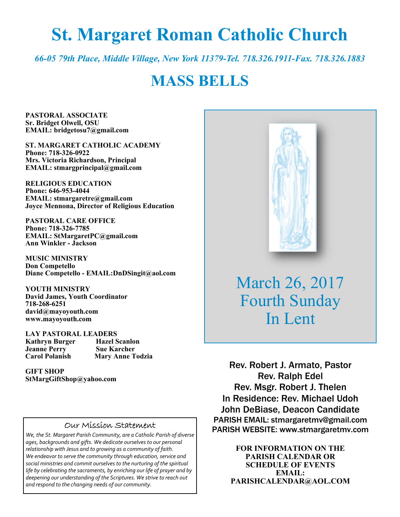# **St. Margaret Roman Catholic Church**

*66-05 79th Place, Middle Village, New York 11379-Tel. 718.326.1911-Fax. 718.326.1883* 

## **MASS BELLS**

**PASTORAL ASSOCIATE Sr. Bridget Olwell, OSU EMAIL: bridgetosu7@gmail.com** 

**ST. MARGARET CATHOLIC ACADEMY Phone: 718-326-0922 Mrs. Victoria Richardson, Principal EMAIL: stmargprincipal@gmail.com** 

**RELIGIOUS EDUCATION Phone: 646-953-4044 EMAIL: stmargaretre@gmail.com Joyce Mennona, Director of Religious Education** 

**PASTORAL CARE OFFICE Phone: 718-326-7785 EMAIL: StMargaretPC@gmail.com Ann Winkler - Jackson** 

**MUSIC MINISTRY Don Competello Diane Competello - EMAIL:DnDSingit@aol.com** 

**YOUTH MINISTRY David James, Youth Coordinator 718-268-6251 david@mayoyouth.com www.mayoyouth.com** 

**LAY PASTORAL LEADERS Kathryn Burger Hazel Scanlon Jeanne Perry Carol Polanish Mary Anne Todzia** 

**GIFT SHOP StMargGiftShop@yahoo.com**

#### Our Mission Statement

*We, the St. Margaret Parish Community, are a Catholic Parish of diverse ages, backgrounds and gifts. We dedicate ourselves to our personal relationship with Jesus and to growing as a community of faith. We endeavor to serve the community through education, service and social ministries and commit ourselves to the nurturing of the spiritual life by celebrating the sacraments, by enriching our life of prayer and by deepening our understanding of the Scriptures. We strive to reach out and respond to the changing needs of our community.*



March 26, 2017 Fourth Sunday In Lent

Rev. Robert J. Armato, Pastor Rev. Ralph Edel Rev. Msgr. Robert J. Thelen In Residence: Rev. Michael Udoh John DeBiase, Deacon Candidate PARISH EMAIL: stmargaretmv@gmail.com PARISH WEBSITE: www.stmargaretmv.com

> **FOR INFORMATION ON THE PARISH CALENDAR OR SCHEDULE OF EVENTS EMAIL: PARISHCALENDAR@AOL.COM**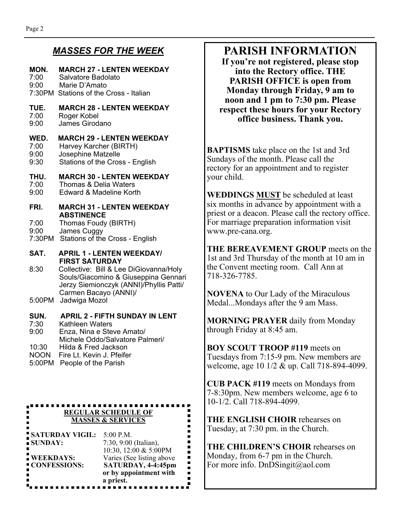#### *MASSES FOR THE WEEK*

#### **MON. MARCH 27 - LENTEN WEEKDAY**

7:00 Salvatore Badolato 9:00 Marie D'Amato 7:30PM Stations of the Cross - Italian

#### **TUE. MARCH 28 - LENTEN WEEKDAY**

- 7:00 Roger Kobel<br>9:00 James Girod
- James Girodano

#### **WED. MARCH 29 - LENTEN WEEKDAY**

- 7:00 Harvey Karcher (BIRTH)
- 9:00 Josephine Matzelle
- 9:30 Stations of the Cross English

#### **THU. MARCH 30 - LENTEN WEEKDAY**

- 7:00 Thomas & Delia Waters<br>9:00 Edward & Madeline Kort
- Edward & Madeline Korth
- **FRI. MARCH 31 LENTEN WEEKDAY ABSTINENCE**
- 7:00 Thomas Foudy (BIRTH)
- 9:00 James Cuggy
- 7:30PM Stations of the Cross English

**SAT. APRIL 1 - LENTEN WEEKDAY/ FIRST SATURDAY** 

8:30 Collective: Bill & Lee DiGiovanna/Holy Souls/Giacomino & Giuseppina Gennari Jerzy Siemionczyk (ANNI)/Phyllis Patti/ Carmen Bacayo (ANNI)/

5:00PM Jadwiga Mozol

#### **SUN. APRIL 2 - FIFTH SUNDAY IN LENT**

- 7:30 Kathleen Waters
- 9:00 Enza, Nina e Steve Amato/
- Michele Oddo/Salvatore Palmeri/ 10:30 Hilda & Fred Jackson
- NOON Fire Lt. Kevin J. Pfeifer
- 5:00PM People of the Parish

#### **REGULAR SCHEDULE OF MASSES & SERVICES**

| <b>SATURDAY VIGIL:</b>           | $5:00$ P.M.                                                                                                     |
|----------------------------------|-----------------------------------------------------------------------------------------------------------------|
| SUNDAY:                          | 7:30, 9:00 (Italian),                                                                                           |
| <b>WEEKDAYS:</b><br>CONFESSIONS: | 10:30, 12:00 & 5:00PM<br>Varies (See listing above<br>SATURDAY, 4-4:45pm<br>or by appointment with<br>a priest. |

## **PARISH INFORMATION**

**If you're not registered, please stop into the Rectory office. THE PARISH OFFICE is open from Monday through Friday, 9 am to noon and 1 pm to 7:30 pm. Please respect these hours for your Rectory office business. Thank you.** 

**BAPTISMS** take place on the 1st and 3rd Sundays of the month. Please call the rectory for an appointment and to register your child.

**WEDDINGS MUST** be scheduled at least six months in advance by appointment with a priest or a deacon. Please call the rectory office. For marriage preparation information visit www.pre-cana.org.

**THE BEREAVEMENT GROUP** meets on the 1st and 3rd Thursday of the month at 10 am in the Convent meeting room. Call Ann at 718-326-7785.

**NOVENA** to Our Lady of the Miraculous Medal...Mondays after the 9 am Mass.

**MORNING PRAYER** daily from Monday through Friday at 8:45 am.

**BOY SCOUT TROOP #119** meets on Tuesdays from 7:15-9 pm. New members are welcome, age 10 1/2 & up. Call 718-894-4099.

**CUB PACK #119** meets on Mondays from 7-8:30pm. New members welcome, age 6 to 10-1/2. Call 718-894-4099.

**THE ENGLISH CHOIR** rehearses on Tuesday, at 7:30 pm. in the Church.

**THE CHILDREN'S CHOIR** rehearses on Monday, from 6-7 pm in the Church. For more info. DnDSingit@aol.com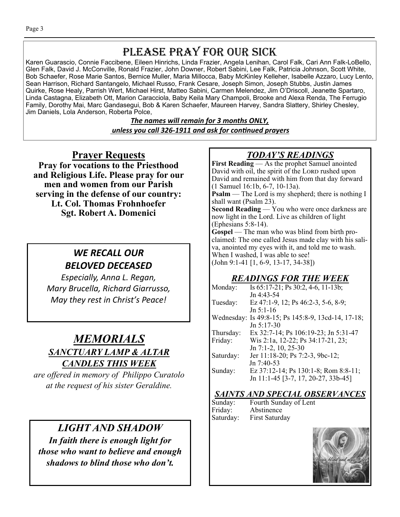## PLEASE PRAY FOR OUR SICK

Karen Guarascio, Connie Faccibene, Eileen Hinrichs, Linda Frazier, Angela Lenihan, Carol Falk, Cari Ann Falk-LoBello, Glen Falk, David J. McConville, Ronald Frazier, John Downer, Robert Sabini, Lee Falk, Patricia Johnson, Scott White, Bob Schaefer, Rose Marie Santos, Bernice Muller, Maria Millocca, Baby McKinley Kelleher, Isabelle Azzaro, Lucy Lento, Sean Harrison, Richard Santangelo, Michael Russo, Frank Cesare, Joseph Simon, Joseph Stubbs, Justin James Quirke, Rose Healy, Parrish Wert, Michael Hirst, Matteo Sabini, Carmen Melendez, Jim O'Driscoll, Jeanette Spartaro, Linda Castagna, Elizabeth Ott, Marion Caracciola, Baby Keila Mary Champoli, Brooke and Alexa Renda, The Ferrugio Family, Dorothy Mai, Marc Gandasegui, Bob & Karen Schaefer, Maureen Harvey, Sandra Slattery, Shirley Chesley, Jim Daniels, Lola Anderson, Roberta Polce,

> *The names will remain for 3 months ONLY, unless you call 326-1911 and ask for conƟnued prayers*

#### **Prayer Requests**

**Pray for vocations to the Priesthood and Religious Life. Please pray for our men and women from our Parish serving in the defense of our country: Lt. Col. Thomas Frohnhoefer Sgt. Robert A. Domenici** 

### *WE RECALL OUR BELOVED DECEASED*

*Especially, Anna L. Regan, Mary Brucella, Richard Giarrusso, May they rest in Christ's Peace!* 

## *MEMORIALS SANCTUARY LAMP & ALTAR CANDLES THIS WEEK*

*are offered in memory of Philippo Curatolo at the request of his sister Geraldine.* 

## *LIGHT AND SHADOW*

*In faith there is enough light for those who want to believe and enough shadows to blind those who don't.* 

## *TODAY'S READINGS*

**First Reading** — As the prophet Samuel anointed David with oil, the spirit of the LORD rushed upon David and remained with him from that day forward (1 Samuel 16:1b, 6-7, 10-13a). **Psalm** — The Lord is my shepherd; there is nothing I shall want (Psalm 23). Second Reading - You who were once darkness are now light in the Lord. Live as children of light (Ephesians 5:8-14). **Gospel** — The man who was blind from birth proclaimed: The one called Jesus made clay with his saliva, anointed my eyes with it, and told me to wash. When I washed, I was able to see! (John 9:1-41 [1, 6-9, 13-17, 34-38])

#### *READINGS FOR THE WEEK*

| Monday:   | Is 65:17-21; Ps 30:2, 4-6, 11-13b;                 |
|-----------|----------------------------------------------------|
|           | Jn 4:43-54                                         |
| Tuesday:  | Ez 47:1-9, 12; Ps 46:2-3, 5-6, 8-9;                |
|           | $Jn 5:1-16$                                        |
|           | Wednesday: Is 49:8-15; Ps 145:8-9, 13cd-14, 17-18; |
|           | $Jn 5:17-30$                                       |
| Thursday: | Ex 32:7-14; Ps 106:19-23; Jn 5:31-47               |
| Friday:   | Wis 2:1a, 12-22; Ps 34:17-21, 23;                  |
|           | Jn 7:1-2, 10, 25-30                                |
| Saturday: | Jer 11:18-20; Ps 7:2-3, 9bc-12;                    |
|           | Jn 7:40-53                                         |
| Sunday:   | Ez 37:12-14; Ps 130:1-8; Rom 8:8-11;               |
|           | Jn 11:1-45 [3-7, 17, 20-27, 33b-45]                |

#### *SAINTS AND SPECIAL OBSERVANCES*  $f$ Lent

| Sunday:   | Fourth Sunday o |
|-----------|-----------------|
| Friday:   | Abstinence      |
| Saturday: | First Saturday  |

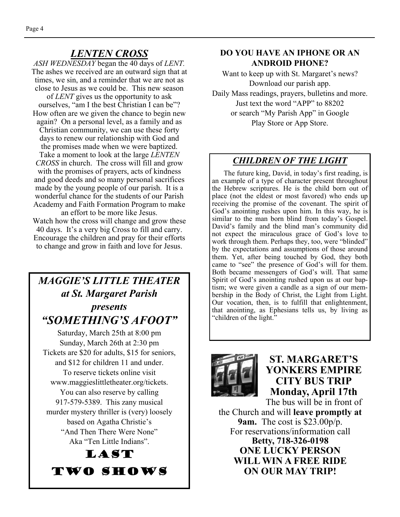#### *LENTEN CROSS*

*ASH WEDNESDAY* began the 40 days of *LENT.*  The ashes we received are an outward sign that at times, we sin, and a reminder that we are not as close to Jesus as we could be. This new season of *LENT* gives us the opportunity to ask

ourselves, "am I the best Christian I can be"? How often are we given the chance to begin new again? On a personal level, as a family and as Christian community, we can use these forty days to renew our relationship with God and the promises made when we were baptized. Take a moment to look at the large *LENTEN CROSS* in church. The cross will fill and grow with the promises of prayers, acts of kindness and good deeds and so many personal sacrifices made by the young people of our parish. It is a wonderful chance for the students of our Parish Academy and Faith Formation Program to make an effort to be more like Jesus.

Watch how the cross will change and grow these 40 days. It's a very big Cross to fill and carry. Encourage the children and pray for their efforts to change and grow in faith and love for Jesus.

## *MAGGIE'S LITTLE THEATER at St. Margaret Parish presents "SOMETHING'S AFOOT"*

Saturday, March 25th at 8:00 pm Sunday, March 26th at 2:30 pm Tickets are \$20 for adults, \$15 for seniors, and \$12 for children 11 and under. To reserve tickets online visit www.maggieslittletheater.org/tickets. You can also reserve by calling 917-579-5389. This zany musical murder mystery thriller is (very) loosely based on Agatha Christie's "And Then There Were None" Aka "Ten Little Indians".



#### **DO YOU HAVE AN IPHONE OR AN ANDROID PHONE?**

Want to keep up with St. Margaret's news? Download our parish app. Daily Mass readings, prayers, bulletins and more. Just text the word "APP" to 88202 or search "My Parish App" in Google Play Store or App Store.

#### *CHILDREN OF THE LIGHT*

 The future king, David, in today's first reading, is an example of a type of character present throughout the Hebrew scriptures. He is the child born out of place (not the eldest or most favored) who ends up receiving the promise of the covenant. The spirit of God's anointing rushes upon him. In this way, he is similar to the man born blind from today's Gospel. David's family and the blind man's community did not expect the miraculous grace of God's love to work through them. Perhaps they, too, were "blinded" by the expectations and assumptions of those around them. Yet, after being touched by God, they both came to "see" the presence of God's will for them. Both became messengers of God's will. That same Spirit of God's anointing rushed upon us at our baptism; we were given a candle as a sign of our membership in the Body of Christ, the Light from Light. Our vocation, then, is to fulfill that enlightenment, that anointing, as Ephesians tells us, by living as "children of the light."



#### **ST. MARGARET'S YONKERS EMPIRE CITY BUS TRIP Monday, April 17th**

The bus will be in front of the Church and will **leave promptly at 9am.** The cost is \$23.00p/p. For reservations/information call **Betty, 718-326-0198 ONE LUCKY PERSON WILL WIN A FREE RIDE ON OUR MAY TRIP!**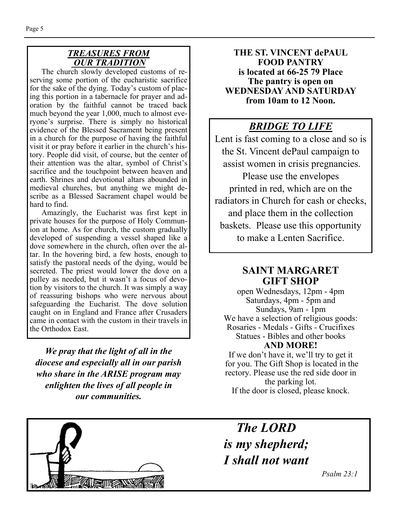#### *TREASURES FROM OUR TRADITION*

The church slowly developed customs of reserving some portion of the eucharistic sacrifice for the sake of the dying. Today's custom of placing this portion in a tabernacle for prayer and adoration by the faithful cannot be traced back much beyond the year 1,000, much to almost everyone's surprise. There is simply no historical evidence of the Blessed Sacrament being present in a church for the purpose of having the faithful visit it or pray before it earlier in the church's history. People did visit, of course, but the center of their attention was the altar, symbol of Christ's sacrifice and the touchpoint between heaven and earth. Shrines and devotional altars abounded in medieval churches, but anything we might describe as a Blessed Sacrament chapel would be hard to find.

 Amazingly, the Eucharist was first kept in private houses for the purpose of Holy Communion at home. As for church, the custom gradually developed of suspending a vessel shaped like a dove somewhere in the church, often over the altar. In the hovering bird, a few hosts, enough to satisfy the pastoral needs of the dying, would be secreted. The priest would lower the dove on a pulley as needed, but it wasn't a focus of devotion by visitors to the church. It was simply a way of reassuring bishops who were nervous about safeguarding the Eucharist. The dove solution caught on in England and France after Crusaders came in contact with the custom in their travels in the Orthodox East.

*We pray that the light of all in the diocese and especially all in our parish who share in the ARISE program may enlighten the lives of all people in our communities.* 

**THE ST. VINCENT dePAUL FOOD PANTRY is located at 66-25 79 Place The pantry is open on WEDNESDAY AND SATURDAY from 10am to 12 Noon.** 

## *BRIDGE TO LIFE*

Lent is fast coming to a close and so is the St. Vincent dePaul campaign to assist women in crisis pregnancies. Please use the envelopes printed in red, which are on the radiators in Church for cash or checks, and place them in the collection baskets. Please use this opportunity to make a Lenten Sacrifice.

#### **SAINT MARGARET GIFT SHOP**

open Wednesdays, 12pm - 4pm Saturdays, 4pm - 5pm and Sundays, 9am - 1pm We have a selection of religious goods: Rosaries - Medals - Gifts - Crucifixes Statues - Bibles and other books **AND MORE!** 

If we don't have it, we'll try to get it for you. The Gift Shop is located in the rectory. Please use the red side door in the parking lot. If the door is closed, please knock.



*The LORD is my shepherd; I shall not want* 

 *Psalm 23:1*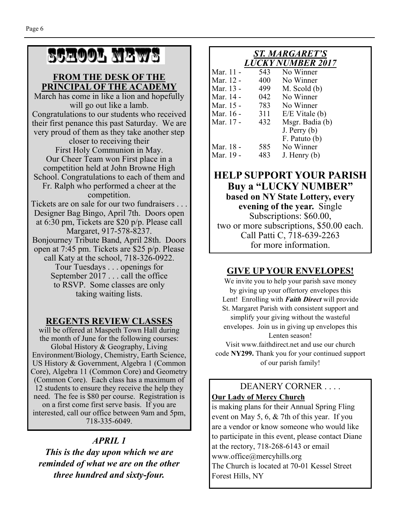# SCHOOL NEWS

#### **FROM THE DESK OF THE PRINCIPAL OF THE ACADEMY**

March has come in like a lion and hopefully will go out like a lamb. Congratulations to our students who received their first penance this past Saturday. We are very proud of them as they take another step closer to receiving their First Holy Communion in May. Our Cheer Team won First place in a competition held at John Browne High School. Congratulations to each of them and Fr. Ralph who performed a cheer at the competition. Tickets are on sale for our two fundraisers . . . Designer Bag Bingo, April 7th. Doors open at 6:30 pm, Tickets are \$20 p/p. Please call Margaret, 917-578-8237. Bonjourney Tribute Band, April 28th. Doors open at 7:45 pm. Tickets are \$25 p/p. Please call Katy at the school, 718-326-0922. Tour Tuesdays . . . openings for September 2017 . . . call the office to RSVP. Some classes are only taking waiting lists.

#### **REGENTS REVIEW CLASSES**

will be offered at Maspeth Town Hall during the month of June for the following courses: Global History & Geography, Living Environment/Biology, Chemistry, Earth Science, US History & Government, Algebra 1 (Common Core), Algebra 11 (Common Core) and Geometry (Common Core). Each class has a maximum of 12 students to ensure they receive the help they need. The fee is \$80 per course. Registration is on a first come first serve basis. If you are interested, call our office between 9am and 5pm, 718-335-6049.

#### *APRIL 1*

*This is the day upon which we are reminded of what we are on the other three hundred and sixty-four.* 

#### *ST. MARGARET'S LUCKY NUMBER 2017*

| Mar. 11 - | 543 | No Winner        |
|-----------|-----|------------------|
| Mar. 12 - | 400 | No Winner        |
| Mar. 13 - | 499 | $M.$ Scold $(b)$ |
| Mar. 14 - | 042 | No Winner        |
| Mar. 15 - | 783 | No Winner        |
| Mar. 16 - | 311 | $E/E$ Vitale (b) |
| Mar. 17 - | 432 | Msgr. Badia (b)  |
|           |     | $J.$ Perry $(b)$ |
|           |     | F. Patuto (b)    |
| Mar. 18 - | 585 | No Winner        |
| Mar. 19 - | 483 | $J.$ Henry $(b)$ |

#### **HELP SUPPORT YOUR PARISH Buy a "LUCKY NUMBER" based on NY State Lottery, every evening of the year.** Single Subscriptions: \$60.00, two or more subscriptions, \$50.00 each. Call Patti C, 718-639-2263 for more information.

#### **GIVE UP YOUR ENVELOPES!**

We invite you to help your parish save money by giving up your offertory envelopes this Lent! Enrolling with *Faith Direct* will provide St. Margaret Parish with consistent support and simplify your giving without the wasteful envelopes. Join us in giving up envelopes this Lenten season! Visit www.faithdirect.net and use our church code **NY299.** Thank you for your continued support of our parish family!

#### DEANERY CORNER . . . . **Our Lady of Mercy Church**

is making plans for their Annual Spring Fling event on May 5, 6, & 7th of this year. If you are a vendor or know someone who would like to participate in this event, please contact Diane at the rectory, 718-268-6143 or email www.office@mercyhills.org The Church is located at 70-01 Kessel Street Forest Hills, NY